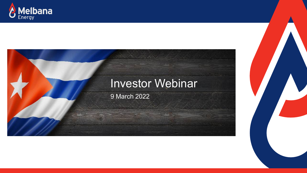



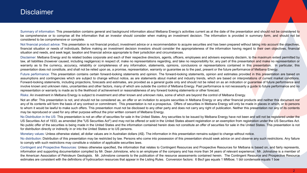### **Disclaimer**

Summary of information: This presentation contains general and background information about Melbana Energy's activities current as at the date of the presentation and should not be considered to be comprehensive or to comprise all the information that an investor should consider when making an investment decision. The information is provided in summary form, and should not be considered to be comprehensive or complete.

Not financial product advice: This presentation is not financial product, investment advice or a recommendation to acquire securities and has been prepared without taking into account the objectives, financial situation or needs of individuals. Before making an investment decision investors should consider the appropriateness of the information having regard to their own objectives, financial situation and needs, and seek legal, taxation and financial advice appropriate to their jurisdiction and circumstances.

Disclaimer: Melbana Energy and its related bodies corporate and each of their respective directors, agents, officers, employees and advisers expressly disclaim, to the maximum extent permitted by law, all liabilities (however caused, including negligence) in respect of, make no representations regarding, and take no responsibility for, any part of this presentation and make no representation or warranty as to the currency, accuracy, reliability or completeness of any information, statements, opinions, conclusions or representations contained in this presentation. In particular, this presentation does not constitute, and shall not be relied upon as, a promise, representation, warranty or guarantee as to the past, present or the future performance of Melbana Energy.

Future performance: This presentation contains certain forward-looking statements and opinion. The forward-looking statements, opinion and estimates provided in this presentation are based on assumptions and contingencies which are subject to change without notice, as are statements about market and industry trends, which are based on interpretations of current market conditions. Forward-looking statements, including projections, forecasts and estimates, are provided as a general guide only and should not be relied on as an indication or quarantee of future performance and involve known and unknown risks, uncertainties and other factors, many of which are outside the control of Melbana Energy. Past performance is not necessarily a quide to future performance and no representation or warranty is made as to the likelihood of achievement or reasonableness of any forward looking statements or other forecast.

Risks: An investment in Melbana Energy is subject to investment and other known and unknown risks, some of which are beyond the control of Melbana Energy.

Not an offer: This presentation is not, and should not be considered as, an offer or an invitation to acquire securities in Melbana Energy or any other financial products and neither this document nor any of its contents will form the basis of any contract or commitment. This presentation is not a prospectus. Offers of securities in Melbana Energy will only be made in places in which, or to persons to whom it would be lawful to make such offers. This presentation must not be disclosed to any other party and does not carry any right of publication. Neither this presentation nor any of its contents may be reproduced or used for any other purpose without the prior written consent of Melbana Energy.

No Distribution in the US: This presentation is not an offer of securities for sale in the United States. Any securities to be issued by Melbana Energy have not been and will not be registered under the US Securities Act of 1933, as amended (the "US Securities Act") and may not be offered or sold in the United States absent registration or an exemption from registration under the US Securities Act. No public offer of the securities is being made in the United States and the information contained herein does not constitute an offer of securities for sale in the United States. This presentation is not for distribution directly or indirectly in or into the United States or to US persons.

Monetary values: Unless otherwise stated, all dollar values are in Australian dollars (A\$). The information in this presentation remains subject to change without notice.

No distribution: Distribution of this presentation may be restricted by law. Persons who come into possession of this presentation should seek advice on and observe any such restrictions. Any failure to comply with such restrictions may constitute a violation of applicable securities laws.

Contingent and Prospective Resources: Unless otherwise specified, the information that relates to Contingent Resources and Prospective Resources for Melbana is based on, and fairly represents, information and supporting documentation compiled by Mr. Dean Johnstone, who is an employee of the company and has more than 34 years of relevant experience. Mr. Johnstone is a member of the American Association of Petroleum Geologists. Mr. Johnstone consents to the publication of the resource assessments contained herein. The Contingent Resource and Prospective Resource estimates are consistent with the definitions of hydrocarbon resources that appear in the Listing Rules. Conversion factors: 6 Bscf gas equals 1 MMboe; 1 bbl condensate equals 1 boe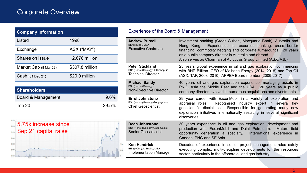# Corporate Overview

| <b>Company Information</b> |                      |  |  |  |
|----------------------------|----------------------|--|--|--|
| Listed                     | 1998                 |  |  |  |
| Exchange                   | ASX ("MAY")          |  |  |  |
| Shares on issue            | $\sim$ 2,676 million |  |  |  |
| Market Cap (8 Mar 22)      | \$307.8 million      |  |  |  |
| Cash (31 Dec 21)           | \$20.0 million       |  |  |  |

| Shareholders <sup>'</sup> |         |
|---------------------------|---------|
| Board & Management        | $9.6\%$ |
| Top 20                    | 29.5%   |



### Experience of the Board & Management

| <b>Andrew Purcell</b><br>BEng (Elec), MBA<br><b>Executive Chairman</b>                 | Investment banking (Credit Suisse, Macquarie Bank), Australia and<br>Experienced in resources banking, cross border<br>Hong Kong.<br>financing, commodity hedging and corporate turnarounds. 20 years<br>as a public company director in Australia and abroad.<br>Also serves as Chairman of AJ Lucas Group Limited (ASX: AJL). |
|----------------------------------------------------------------------------------------|---------------------------------------------------------------------------------------------------------------------------------------------------------------------------------------------------------------------------------------------------------------------------------------------------------------------------------|
| <b>Peter Stickland</b><br>BSc (Hons) (Geology) GDipAppFin<br><b>Technical Director</b> | 25 years global experience in oil and gas exploration commencing<br>with BHP Billiton. CEO of Melbana Energy (2014-2018) and Tap Oil<br>(ASX: TAP, 2008-2010). APPEA Board member (2009-2017).                                                                                                                                  |
| <b>Michael Sandy</b><br>BSc (Hons) (Geology)<br><b>Non-Executive Director</b>          | 40 years oil and gas exploration experience, managing assets in<br>PNG, Asia the Middle East and the USA. 20 years as a public<br>company director involved in numerous acquisitions and divestments.                                                                                                                           |
| <b>Errol Johnstone</b><br>BSc (Hons) (Geology/Geophysics)<br><b>Chief Geoscientist</b> | 29 year career with ExxonMobil in a variety of exploration and<br>Recognised industry expert in several key<br>appraisal roles.<br>geoscientific disciplines. Responsible for generating many new<br>exploration initiatives internationally resulting in several significant<br>discoveries.                                   |
| <b>Dean Johnstone</b><br>BSc (Hons) (Geology/Geophysics)<br><b>Senior Geoscientist</b> | 30 years experience in oil and gas exploration, development and<br>production with ExxonMobil and Delhi Petroleum.<br>Mature field<br>opportunity generation a specialty. International experience in<br>Canada, PNG and SE Asia.                                                                                               |
| <b>Ken Hendrick</b><br>BEng (Civil), MEngSc, MBA<br><b>Implementation Manager</b>      | Decades of experience in senior project management roles safely<br>executing complex multi-discipline developments for the resources<br>sector, particularly in the offshore oil and gas industry.                                                                                                                              |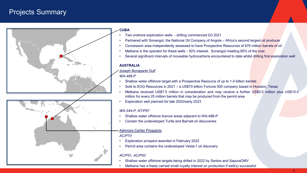## Projects Summary





#### **CUBA**

- Two onshore exploration wells drilling commenced Q3 2021
- Partnered with Sonangol, the National Oil Company of Angola Africa's second largest oil producer
- Concession area independently assessed to have Prospective Resources of 676 million barrels of oil
- Melbana is the operator for these wells 30% interest. Sonangol meeting 85% of the cost.
- Several significant intervals of moveable hydrocarbons encountered to date whilst drilling first exploration well

### **AUSTRALIA**

#### Joseph Bonaparte Gulf

#### *WA-488-P*

- Shallow water offshore target with a Prospective Resource of up to 1.4 billion barrels
- Sold to EOG Resources in 2021 a US\$70 billion Fortune 500 company based in Houston, Texas
- Melbana received US\$7.5 million in consideration and may receive a further US\$5.0 million plus US\$10.0 million for every 25 million barrels that may be produced from the permit area
- Exploration well planned for late 2022/early 2023

#### *WA-544-P, NT/P87*

- Shallow water offshore licence areas adjacent to WA-488-P
- Contain the undeveloped Turtle and Barnett oil discoveries

### Ashmore Cartier Prospects

### *AC/P70*

- Exploration prospect awarded in February 2022
- Permit area contains the undeveloped Vesta-1 oil discovery

### *AC/P51, AC/P50*

- Shallow water offshore targets being drilled in 2022 by Santos and SapuraOMV
- Melbana has a freely carried small royalty interest on production if well(s) successful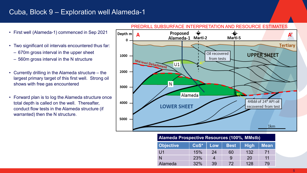### Cuba, Block 9 – Exploration well Alameda-1

- First well (Alameda-1) commenced in Sep 2021
- Two significant oil intervals encountered thus far:
	- ‒ 670m gross interval in the upper sheet
	- ‒ 560m gross interval in the N structure
- Currently drilling in the Alameda structure the largest primary target of this first well. Strong oil shows with free gas encountered
- Forward plan is to log the Alameda structure once total depth is called on the well. Thereafter, conduct flow tests in the Alameda structure (if warranted) then the N structure.



#### PREDRILL SUBSURFACE INTERPRETATION AND RESOURCE ESTIMATES

### **Alameda Prospective Resources (100%, MMstb)**

| <b>Objective</b> | CoS* | Low | <b>Best</b> | <b>High</b> | <b>Mean</b> |
|------------------|------|-----|-------------|-------------|-------------|
| U1               | 15%  | 24  | 60          | 132         |             |
|                  | 23%  |     | 9           | 20          | 11          |
| Alameda          | 32%  | 39  | 72          | 128         | 79          |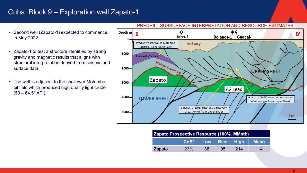### Cuba, Block 9 – Exploration well Zapato-1

- Second well (Zapato-1) expected to commence in May 2022
- Zapato-1 to test a structure identified by strong gravity and magnetic results that aligns with structural interpretation derived from seismic and surface data
- The well is adjacent to the shallower Motembo oil field which produced high quality light crude  $(50 - 64.5^{\circ} API)$



### PREDRILL SUBSURFACE INTERPRETATION AND RESOURCE ESTIMATES

| <b>Zapato Prospective Resource (100%, MMstb)</b> |                          |    |    |      |             |
|--------------------------------------------------|--------------------------|----|----|------|-------------|
|                                                  | CoS*   Low   Best   High |    |    |      | <b>Mean</b> |
| Zapato                                           | 23%                      | 38 | 95 | -214 | 114         |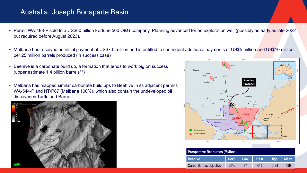### Australia, Joseph Bonaparte Basin

- Permit WA-488-P sold to a US\$60 billion Fortune 500 O&G company. Planning advanced for an exploration well (possibly as early as late 2022 but required before August 2023).
- Melbana has received an initial payment of US\$7.5 million and is entitled to contingent additional payments of US\$5 million and US\$10 million per 25 million barrels produced (in success case)
- Beehive is a carbonate build up, a formation that tends to work big on success (upper estimate 1.4 billion barrels\*\*)
- Melbana has mapped similar carbonate build ups to Beehive in its adjacent permits WA-544-P and NT/P87 (Melbana 100%), which also contain the undeveloped oil discoveries Turtle and Barnett





| <b>Prospective Resources (MMboe)</b> |      |     |             |       |             |  |
|--------------------------------------|------|-----|-------------|-------|-------------|--|
| <b>Beehive</b>                       | CoS* | Low | <b>Best</b> | High  | <b>Mean</b> |  |
| Carboniferous objective              | 20%  |     | 416         | 1.424 | 599         |  |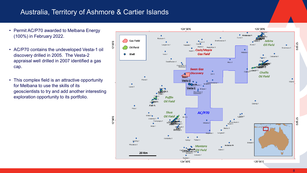### Australia, Territory of Ashmore & Cartier Islands

- Permit AC/P70 awarded to Melbana Energy (100%) in February 2022.
- AC/P70 contains the undeveloped Vesta-1 oil discovery drilled in 2005. The Vesta-2 appraisal well drilled in 2007 identified a gas cap.
- This complex field is an attractive opportunity for Melbana to use the skills of its geoscientists to try and add another interesting exploration opportunity to its portfolio.

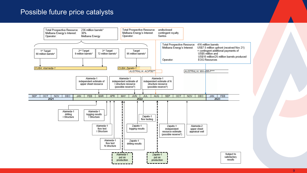### Possible future price catalysts



#### 9